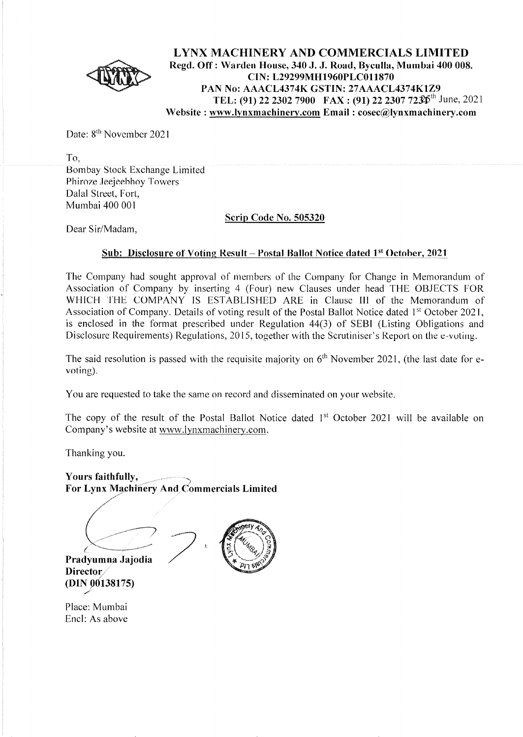

**LYNX MACHINERY AND COMMERCIALS LIMITED Regd. Off: Warden House, 340 J. J. Road, Byculla, Mumbai 400 008. CIN: L29299MH1960PLC011870 PAN No: AAACL4374K GSTIN: 27AAACL4374K1Z9 TEL: (91) 22 2302 7900 FAX: (91) 22 2307 72jpth** June, 2021 **Website: www.lynxmachinery.com Email: cosec@lynxmachinery.com** 

Date: 8<sup>th</sup> November 2021

To, Bombay Stock Exchange Limited Phiroze Jeejeebhoy Towers Dalal Street, Fort, Mumbai 400 001

#### **Scrip Code No. 505320**

Dear Sir/Madam,

#### **<u>Sub: Disclosure of Voting Result - Postal Ballot Notice dated 1st October, 2021</u>**

The Company had sought approval of members of the Company for Change in Memorandum of Association of Company by inserting 4 (Four) new Clauses under head THE OBJECTS FOR WHICH THE COMPANY IS ESTABLISHED ARE in Clause III of the Memorandum of Association of Company. Details of voting result of the Postal Ballot Notice dated 1<sup>st</sup> October 2021, is enclosed in the format prescribed under Regulation 44(3) of SEBI (Listing Obligations and Disclosure Requirements) Regulations, 2015, together with the Scrutiniser's Report on the e-voting.

The said resolution is passed with the requisite majority on  $6<sup>th</sup>$  November 2021, (the last date for evoting).

You are requested to take the same on record and disseminated on your website.

The copy of the result of the Postal Ballot Notice dated 1<sup>st</sup> October 2021 will be available on Company's website at www.lynxmachinery.com.

Thanking you.

*(*

Yours faithfully, For Lynx Machinery And Commercials Limited



 $\chi$  -maximum parameters **Pradyumna Jajodia Director. (DIN !)0138175)** 

*//* --;

Place: Mumbai Encl: As above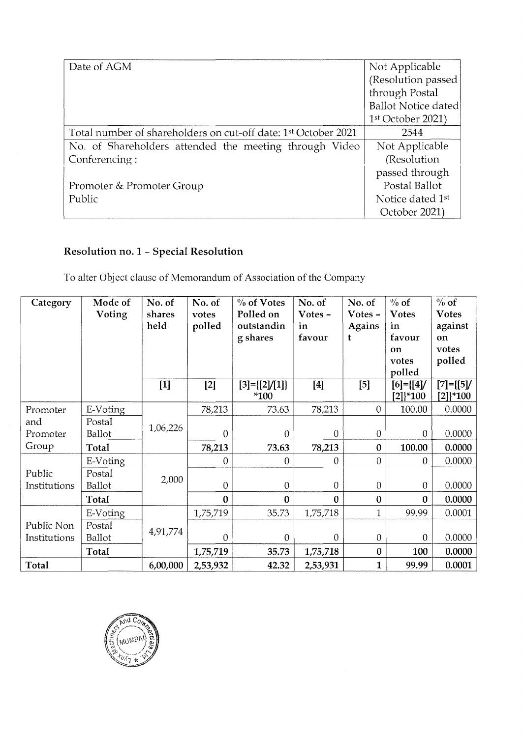| Date of AGM                                                                | Not Applicable               |
|----------------------------------------------------------------------------|------------------------------|
|                                                                            | (Resolution passed)          |
|                                                                            | through Postal               |
|                                                                            | Ballot Notice dated          |
|                                                                            | 1 <sup>st</sup> October 2021 |
| Total number of shareholders on cut-off date: 1 <sup>st</sup> October 2021 | 2544                         |
| No. of Shareholders attended the meeting through Video                     | Not Applicable               |
| Conferencing:                                                              | (Resolution)                 |
|                                                                            | passed through               |
| Promoter & Promoter Group                                                  | Postal Ballot                |
| Public                                                                     | Notice dated 1st             |
|                                                                            | October 2021)                |

# **Resolution no. 1** - **Special Resolution**

To alter Object clause of Memorandum of Association of the Company

| Category                   | Mode of<br>Voting | No. of<br>shares<br>held | No. of<br>votes<br>polled | $\%$ of Votes<br>Polled on<br>outstandin<br>g shares | No. of<br>Votes-<br>in<br>favour | No. of<br>Votes $-$<br>Agains<br>t | $\%$ of<br><b>Votes</b><br>in<br>favour<br>on<br>votes<br>polled | $\%$ of<br><b>Votes</b><br>against<br><b>on</b><br>votes<br>polled |
|----------------------------|-------------------|--------------------------|---------------------------|------------------------------------------------------|----------------------------------|------------------------------------|------------------------------------------------------------------|--------------------------------------------------------------------|
|                            |                   | $[1]$                    | $[2]$                     | $[3] = [{2} / [1]$<br>*100                           | $[4]$                            | $[5]$                              | [6]={[4]/<br>$[2]$ <sup>*</sup> 100                              | $[7] = \{ [5]$<br>$[2]$ <sup>*</sup> 100                           |
| Promoter                   | E-Voting          |                          | 78,213                    | 73.63                                                | 78,213                           | $\theta$                           | 100.00                                                           | 0.0000                                                             |
| and<br>Promoter<br>Group   | Postal<br>Ballot  | 1,06,226                 | $\overline{0}$            | 0                                                    | $\overline{0}$                   | $\overline{0}$                     | $\theta$                                                         | 0.0000                                                             |
|                            | Total             |                          | 78,213                    | 73.63                                                | 78,213                           | $\boldsymbol{0}$                   | 100.00                                                           | 0.0000                                                             |
| Public<br>Institutions     | E-Voting          | 2,000                    | 0                         | $\overline{0}$                                       | 0                                | $\overline{0}$                     | $\theta$                                                         | 0.0000                                                             |
|                            | Postal<br>Ballot  |                          | 0                         | 0                                                    | $\theta$                         | 0                                  | $\theta$                                                         | 0.0000                                                             |
|                            | Total             |                          | $\bf{0}$                  | $\bf{0}$                                             | $\bf{0}$                         | $\mathbf{0}$                       | $\bf{0}$                                                         | 0.0000                                                             |
| Public Non<br>Institutions | E-Voting          | 4,91,774                 | 1,75,719                  | 35.73                                                | 1,75,718                         | $\mathbf{1}$                       | 99.99                                                            | 0.0001                                                             |
|                            | Postal<br>Ballot  |                          | $\overline{0}$            | $\overline{0}$                                       | $\overline{0}$                   | $\overline{0}$                     | $\theta$                                                         | 0.0000                                                             |
|                            | Total             |                          | 1,75,719                  | 35.73                                                | 1,75,718                         | $\bf{0}$                           | 100                                                              | 0.0000                                                             |
| Total                      |                   | 6,00,000                 | 2,53,932                  | 42.32                                                | 2,53,931                         | 1                                  | 99.99                                                            | 0.0001                                                             |

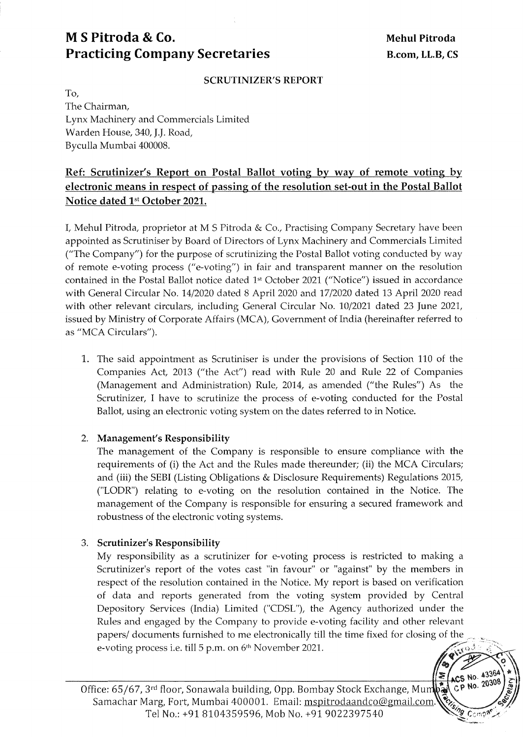# **M S Pitroda & Co.** Mehul Pitroda **Practicing Company Secretaries** B.com, LL.B, CS

#### **SCRUTINIZER'S REPORT**

To, The Chairman, Lynx Machinery and Commercials Limited Warden House, 340, J.J. Road, Byculla Mumbai 400008.

### **Ref: Scrutinizer's Report on Postal Ballot voting by way of remote voting by electronic means in respect of passing of the resolution set-out in the Postal Ballot Notice dated 1st October 2021.**

I, Mehul Pitroda, proprietor at M S Pitroda & Co., Practising Company Secretary have been appointed as Scrutiniser by Board of Directors of Lynx Machinery and Commercials Limited ("The Company") for the purpose of scrutinizing the Postal Ballot voting conducted by way of remote e-voting process ("e-voting") in fair and transparent manner on the resolution contained in the Postal Ballot notice dated 1st October 2021 ("Notice") issued in accordance with General Circular No. 14/2020 dated 8 April 2020 and 17/2020 dated 13 April 2020 read with other relevant circulars, including General Circular No. 10/2021 dated 23 June 2021, issued by Ministry of Corporate Affairs (MCA), Government of India (hereinafter referred to as "MCA Circulars").

1. The said appointment as Scrutiniser is under the provisions of Section 110 of the Companies Act, 2013 ("the Act") read with Rule 20 and Rule 22 of Companies (Management and Administration) Rule, 2014, as amended ("the Rules") As the Scrutinizer, I have to scrutinize the process of e-voting conducted for the Postal Ballot, using an electronic voting system on the dates referred to in Notice.

#### 2. **Management's Responsibility**

The management of the Company is responsible to ensure compliance with the requirements of (i) the Act and the Rules made thereunder; (ii) the MCA Circulars; and (iii) the SEBI (Listing Obligations & Disclosure Requirements) Regulations 2015, ("LODR") relating to e-voting on the resolution contained in the Notice. The management of the Company is responsible for ensuring a secured framework and robustness of the electronic voting systems.

### 3. **Scrutinizer's Responsibility**

My responsibility as a scrutinizer for e-voting process is restricted to making a Scrutinizer's report of the votes cast "in favour" or "against" by the members in respect of the resolution contained in the Notice. My report is based on verification of data and reports generated from the voting system provided by Central Depository Services (India) Limited ("CDSL"), the Agency authorized under the Rules and engaged by the Company to provide e-voting facility and other relevant papers/ documents furnished to me electronically till the time fixed for closing of the e-voting process i.e. till 5 p.m. on 6<sup>th</sup> November 2021.



Office: 65/67, 3rd floor, Sonawala building, Opp. Bombay Stock Exchange, Mu Samachar Marg, Fort, Mumbai 400001. Email: mspitrodaandco@gmail.com. Tel No.: +91 8104359596, Mob No. +91 9022397540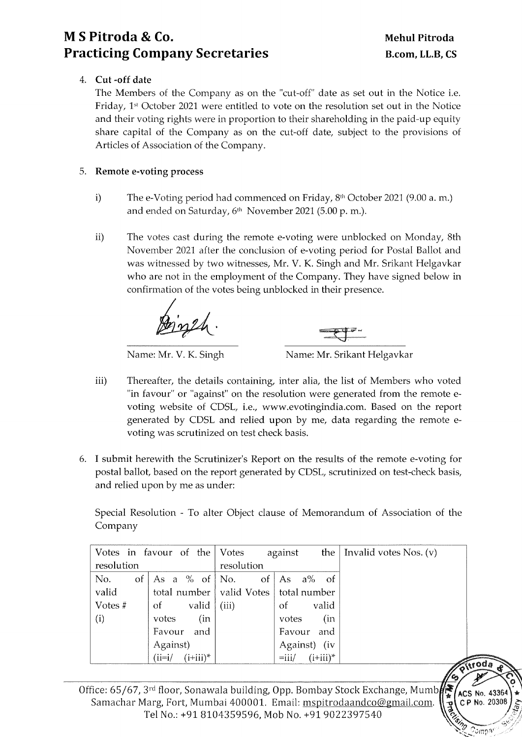## **M S Pitroda & Co. Practicing Company Secretaries**

,,"

oda

**ACS No. 4336** CP No. 20308

### 4. **Cut -off date**

The Members of the Company as on the "cut-off" date as set out in the Notice i.e. Friday, 1st October 2021 were entitled to vote on the resolution set out in the Notice and their voting rights were in proportion to their shareholding in the paid-up equity share capital of the Company as on the cut-off date, subject to the provisions of Articles of Association of the Company.

### 5. **Remote e-voting process**

- i) The e-Voting period had commenced on Friday,  $8<sup>th</sup>$  October 2021 (9.00 a.m.) and ended on Saturday, 6<sup>th</sup> November 2021 (5.00 p. m.).
- ii) The votes cast during the remote e-voting were unblocked on Monday, 8th November 2021 after the conclusion of e-voting period for Postal Ballot and was witnessed by two witnesses, Mr. V. K. Singh and Mr. Srikant Helgavkar who are not in the employment of the Company. They have signed below in confirmation of the votes being unblocked in their presence.



Name: Mr. V. K. Singh Name: Mr. Srikant Helgavkar

- iii) Thereafter, the details containing, inter alia, the list of Members who voted "in favour" or "against" on the resolution were generated from the remote evoting website of CDSL, i.e., www.evotingindia.com. Based on the report generated by CDSL and relied upon by me, data regarding the remote evoting was scrutinized on test check basis.
- 6. I submit herewith the Scrutinizer's Report on the results of the remote e-voting for postal ballot, based on the report generated by CDSL, scrutinized on test-check basis, and relied upon by me as under:

Special Resolution - To alter Object clause of Memorandum of Association of the Company

|                   | Votes in favour of the Votes              |            | against                 | the   Invalid votes Nos. $(v)$ |
|-------------------|-------------------------------------------|------------|-------------------------|--------------------------------|
| resolution        |                                           | resolution |                         |                                |
| $of \vert$<br>No. | As a % of $\vert$ No.                     | of         | As $a\%$ of             |                                |
| valid             | total number   valid Votes   total number |            |                         |                                |
| Votes #           | valid  <br>οf                             | (iii)      | valid<br>οf             |                                |
| (i)               | (in<br>votes                              |            | (in<br>votes            |                                |
|                   | and<br>Favour                             |            | Favour and              |                                |
|                   | Against)                                  |            | Against) (iv            |                                |
|                   | $(i+iii)^*$<br>$(i=i/$                    |            | $(i+iii)^*$<br>$=$ iii/ |                                |

Office: 65/67, 3rd floor, Sonawala building, Opp. Bombay Stock Exchange, Mumb Samachar Marg, Fort, Mumbai 400001. Email: mspitrodaandco@gmail.com. Tel No.: +91 8104359596, Mob No. +91 9022397540 "B C P No. 20